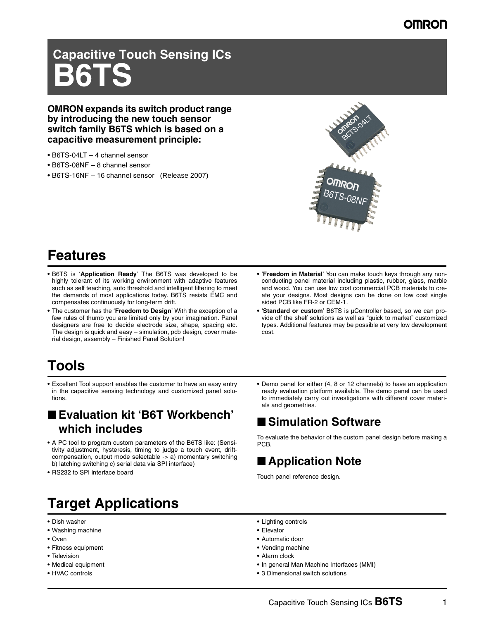# **Capacitive Touch Sensing ICs B6TS**

**OMRON expands its switch product range by introducing the new touch sensor switch family B6TS which is based on a capacitive measurement principle:**

- B6TS-04LT 4 channel sensor
- B6TS-08NF 8 channel sensor
- B6TS-16NF 16 channel sensor (Release 2007)



### **Features**

- **•** B6TS is '**Application Ready**' The B6TS was developed to be highly tolerant of its working environment with adaptive features such as self teaching, auto threshold and intelligent filtering to meet the demands of most applications today. B6TS resists EMC and compensates continuously for long-term drift.
- **•** The customer has the '**Freedom to Design**' With the exception of a few rules of thumb you are limited only by your imagination. Panel designers are free to decide electrode size, shape, spacing etc. The design is quick and easy – simulation, pcb design, cover material design, assembly – Finished Panel Solution!
- **•** '**Freedom in Material**' You can make touch keys through any nonconducting panel material including plastic, rubber, glass, marble and wood. You can use low cost commercial PCB materials to create your designs. Most designs can be done on low cost single sided PCB like FR-2 or CEM-1.
- **•** '**Standard or custom**' B6TS is µController based, so we can provide off the shelf solutions as well as "quick to market" customized types. Additional features may be possible at very low development cost.

### **Tools**

**•** Excellent Tool support enables the customer to have an easy entry in the capacitive sensing technology and customized panel solutions.

### ■ **Evaluation kit 'B6T Workbench' which includes**

- **•** A PC tool to program custom parameters of the B6TS like: (Sensitivity adjustment, hysteresis, timing to judge a touch event, driftcompensation, output mode selectable -> a) momentary switching b) latching switching c) serial data via SPI interface)
- **•** RS232 to SPI interface board

## **Target Applications**

- **•** Dish washer
- **•** Washing machine
- **•** Oven
- **•** Fitness equipment
- **•** Television
- **•** Medical equipment
- **•** HVAC controls

**•** Demo panel for either (4, 8 or 12 channels) to have an application ready evaluation platform available. The demo panel can be used to immediately carry out investigations with different cover materials and geometries.

### ■ Simulation Software

To evaluate the behavior of the custom panel design before making a PCB.

### ■ **Application Note**

Touch panel reference design.

- **•** Lighting controls
- **•** Elevator
- **•** Automatic door
- **•** Vending machine
- **•** Alarm clock
- **•** In general Man Machine Interfaces (MMI)
- **•** 3 Dimensional switch solutions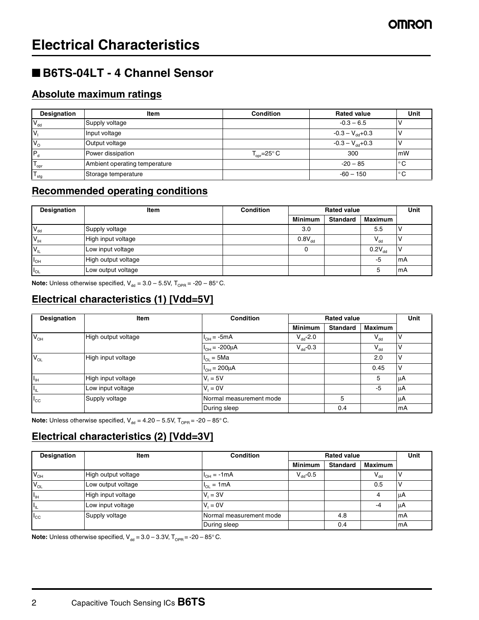### ■ **B6TS-04LT - 4 Channel Sensor**

### **Absolute maximum ratings**

| Designation      | Item                          | <b>Condition</b>                | <b>Rated value</b>           | Unit         |
|------------------|-------------------------------|---------------------------------|------------------------------|--------------|
| $V_{dd}$         | Supply voltage                |                                 | $-0.3 - 6.5$                 |              |
| IV               | Input voltage                 |                                 | $-0.3 - V_{\text{dd}} + 0.3$ |              |
| $V_{\rm c}$      | Output voltage                |                                 | $-0.3 - V_{\text{dd}} + 0.3$ |              |
|                  | Power dissipation             | $T_{\text{cor}} = 25^{\circ} C$ | 300                          | mW           |
| ' opr            | Ambient operating temperature |                                 | $-20 - 85$                   | °C           |
| $T_{\text{stg}}$ | Storage temperature           |                                 | $-60 - 150$                  | $^{\circ}$ C |

### **Recommended operating conditions**

| Designation     | Item                | <b>Condition</b> | <b>Rated value</b> |                 |             | Unit |
|-----------------|---------------------|------------------|--------------------|-----------------|-------------|------|
|                 |                     |                  | <b>Minimum</b>     | <b>Standard</b> | Maximum     |      |
| $V_{dd}$        | Supply voltage      |                  | 3.0                |                 | 5.5         |      |
| $V_{\text{IH}}$ | High input voltage  |                  | $0.8V_{dd}$        |                 | $V_{dd}$    |      |
| $V_L$           | Low input voltage   |                  | 0                  |                 | $0.2V_{dd}$ |      |
| $I_{OH}$        | High output voltage |                  |                    |                 | -5          | mA   |
| $I_{OL}$        | Low output voltage  |                  |                    |                 |             | mA   |

**Note:** Unless otherwise specified,  $V_{dd} = 3.0 - 5.5V$ ,  $T_{OPR} = -20 - 85^{\circ}$ C.

### **Electrical characteristics (1) [Vdd=5V]**

| Designation                    | <b>Item</b>         | <b>Condition</b>        | <b>Rated value</b> |                 | Unit           |    |
|--------------------------------|---------------------|-------------------------|--------------------|-----------------|----------------|----|
|                                |                     |                         | <b>Minimum</b>     | <b>Standard</b> | <b>Maximum</b> |    |
| $V_{OH}$                       | High output voltage | $I_{OH} = -5mA$         | $V_{dd}$ -2.0      |                 | $V_{dd}$       | ν  |
|                                |                     | $I_{OH} = -200 \mu A$   | $V_{dd}$ -0.3      |                 | $V_{dd}$       |    |
| $V_{OL}$                       | High input voltage  | $H_{OL} = 5Ma$          |                    |                 | 2.0            | ν  |
|                                |                     | $I_{OH} = 200 \mu A$    |                    |                 | 0.45           | ν  |
| $I_{\rm IH}$                   | High input voltage  | $V_1 = 5V$              |                    |                 | 5              | μA |
| $I_{\scriptscriptstyle\rm IL}$ | Low input voltage   | $V_i = 0V$              |                    |                 | $-5$           | μA |
| $I_{\rm CC}$                   | Supply voltage      | Normal measurement mode |                    | 5               |                | μA |
|                                |                     | During sleep            |                    | 0.4             |                | mA |

**Note:** Unless otherwise specified,  $V_{dd} = 4.20 - 5.5V$ ,  $T_{OPR} = -20 - 85^{\circ}$  C.

### **Electrical characteristics (2) [Vdd=3V]**

| Designation   | Item                | <b>Condition</b>        | <b>Rated value</b> |                 | Unit           |     |
|---------------|---------------------|-------------------------|--------------------|-----------------|----------------|-----|
|               |                     |                         | <b>Minimum</b>     | <b>Standard</b> | <b>Maximum</b> |     |
| $V_{OH}$      | High output voltage | $I_{OH} = -1mA$         | $V_{dd}$ -0.5      |                 | $V_{dd}$       |     |
| $V_{OL}$      | Low output voltage  | $I_{OL} = 1mA$          |                    |                 | 0.5            |     |
| $II_{\rm IH}$ | High input voltage  | $V_i = 3V$              |                    |                 |                | ΙuΑ |
| Ħш            | Low input voltage   | $V_i = 0V$              |                    |                 | -4             | μA  |
| $I_{\rm CC}$  | Supply voltage      | Normal measurement mode |                    | 4.8             |                | mA  |
|               |                     | During sleep            |                    | 0.4             |                | mA  |

**Note:** Unless otherwise specified,  $V_{dd} = 3.0 - 3.3V$ ,  $T_{OPR} = -20 - 85^{\circ}$  C.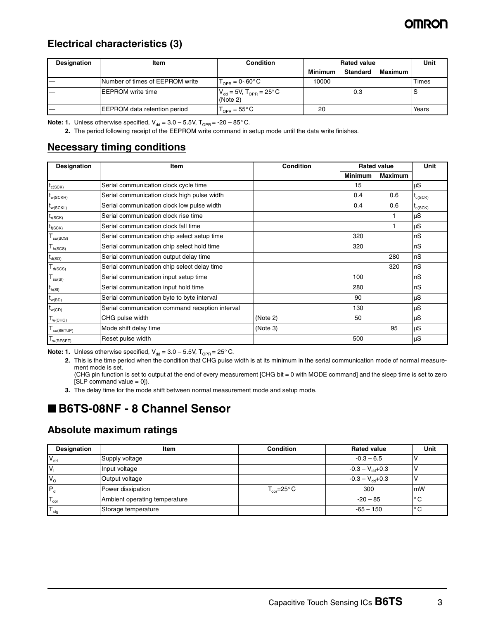### OMRON

#### **Electrical characteristics (3)**

| Designation | Item                            | <b>Condition</b>                                    | <b>Rated value</b> |                 | Unit    |       |
|-------------|---------------------------------|-----------------------------------------------------|--------------------|-----------------|---------|-------|
|             |                                 |                                                     | <b>Minimum</b>     | <b>Standard</b> | Maximum |       |
|             | Number of times of EEPROM write | $T_{\text{OPB}} = 0 \text{~} 60^{\circ} \text{C}$   | 10000              |                 |         | Times |
|             | <b>IEEPROM</b> write time       | $ V_{dd}$ = 5V, T <sub>OPR</sub> = 25°C<br>(Note 2) |                    | 0.3             |         | ĸ     |
|             | EEPROM data retention period    | $\Gamma_{\text{OPB}} = 55^{\circ} \text{C}$         | 20                 |                 |         | Years |

**Note: 1.** Unless otherwise specified,  $V_{dd} = 3.0 - 5.5V$ ,  $T_{OPR} = -20 - 85^{\circ}$  C.

**2.** The period following receipt of the EEPROM write command in setup mode until the data write finishes.

### **Necessary timing conditions**

| Designation               | Item                                            | <b>Condition</b> | <b>Rated value</b> |                | <b>Unit</b>  |
|---------------------------|-------------------------------------------------|------------------|--------------------|----------------|--------------|
|                           |                                                 |                  | <b>Minimum</b>     | <b>Maximum</b> |              |
| $t_{c(SCK)}$              | Serial communication clock cycle time           |                  | 15                 |                | μS           |
| $t_{w(SCKH)}$             | Serial communication clock high pulse width     |                  | 0.4                | 0.6            | $t_{c(SCK)}$ |
| $t_{w(SCKL)}$             | Serial communication clock low pulse width      |                  | 0.4                | 0.6            | $t_{c(SCK)}$ |
| $t_{r(SCK)}$              | Serial communication clock rise time            |                  |                    |                | μS           |
| $t_{f(SCK)}$              | Serial communication clock fall time            |                  |                    |                | μS           |
| $T_{\text{su}(SCS)}$      | Serial communication chip select setup time     |                  | 320                |                | nS           |
| $T_{h(SCS)}$              | Serial communication chip select hold time      |                  | 320                |                | nS           |
| $t_{d(SO)}$               | Serial communication output delay time          |                  |                    | 280            | nS           |
| $T_{d(SCS)}$              | Serial communication chip select delay time     |                  |                    | 320            | nS           |
| $T_{su(SI)}$              | Serial communication input setup time           |                  | 100                |                | nS           |
| $t_{h(SI)}$               | Serial communication input hold time            |                  | 280                |                | nS           |
| $t_{w(BD)}$               | Serial communication byte to byte interval      |                  | 90                 |                | μS           |
| $t_{w(CD)}$               | Serial communication command reception interval |                  | 130                |                | μS           |
| $T_{w(CHG)}$              | CHG pulse width                                 | (Note 2)         | 50                 |                | μS           |
| ${\sf T}_{\sf su(SETUP)}$ | Mode shift delay time                           | (Note 3)         |                    | 95             | μS           |
| $T_{w(RESET)}$            | Reset pulse width                               |                  | 500                |                | μS           |

**Note: 1.** Unless otherwise specified,  $V_{dd} = 3.0 - 5.5V$ ,  $T_{OPB} = 25^{\circ}$ C.

**2.** This is the time period when the condition that CHG pulse width is at its minimum in the serial communication mode of normal measurement mode is set.

(CHG pin function is set to output at the end of every measurement [CHG bit = 0 with MODE command] and the sleep time is set to zero  $[SLP$  command value = 0]).

**3.** The delay time for the mode shift between normal measurement mode and setup mode.

### ■ **B6TS-08NF - 8 Channel Sensor**

#### **Absolute maximum ratings**

| Designation      | Item                          | <b>Condition</b>                      | <b>Rated value</b>           | Unit |
|------------------|-------------------------------|---------------------------------------|------------------------------|------|
| $V_{dd}$         | Supply voltage                |                                       | $-0.3 - 6.5$                 |      |
| I٧               | Input voltage                 |                                       | $-0.3 - V_{\text{dd}} + 0.3$ |      |
| $V_{\rm o}$      | Output voltage                |                                       | $-0.3 - V_{\text{dd}} + 0.3$ |      |
| I۶。              | Power dissipation             | $T_{\text{on}} = 25^{\circ} \text{C}$ | 300                          | mW   |
| $T_{\text{opr}}$ | Ambient operating temperature |                                       | $-20 - 85$                   | ° C  |
| $T_{\text{stg}}$ | Storage temperature           |                                       | $-65 - 150$                  | °C   |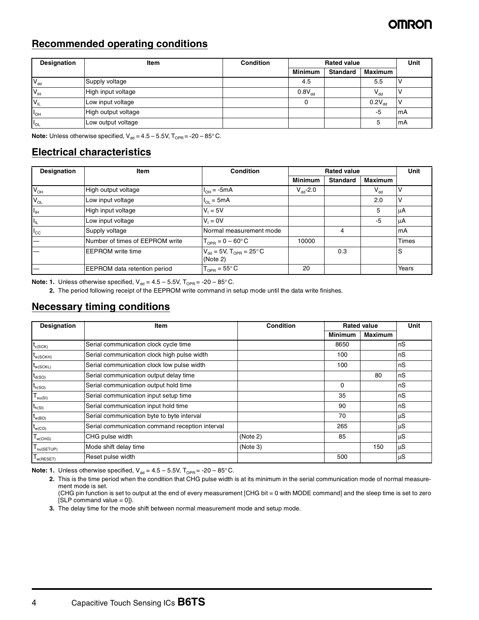#### **Recommended operating conditions**

| Designation     | <b>Item</b>         | <b>Condition</b> | <b>Rated value</b> |                 |             | <b>Unit</b> |
|-----------------|---------------------|------------------|--------------------|-----------------|-------------|-------------|
|                 |                     |                  | <b>Minimum</b>     | <b>Standard</b> | Maximum     |             |
| $V_{dd}$        | Supply voltage      |                  | 4.5                |                 | 5.5         |             |
| $V_{\text{IH}}$ | High input voltage  |                  | $0.8V_{dd}$        |                 | $V_{dd}$    |             |
| $V_{IL}$        | Low input voltage   |                  | 0                  |                 | $0.2V_{dd}$ |             |
| $I_{OH}$        | High output voltage |                  |                    |                 | -5          | mA          |
| $\mathsf{!}$ ol | Low output voltage  |                  |                    |                 |             | mA          |

**Note:** Unless otherwise specified,  $V_{dd} = 4.5 - 5.5V$ ,  $T_{OPR} = -20 - 85^{\circ}$ C.

### **Electrical characteristics**

| Designation                | <b>Item</b>                     | Condition                                              |                | <b>Rated value</b> |                | Unit  |
|----------------------------|---------------------------------|--------------------------------------------------------|----------------|--------------------|----------------|-------|
|                            |                                 |                                                        | <b>Minimum</b> | <b>Standard</b>    | <b>Maximum</b> |       |
| $V_{OH}$                   | High output voltage             | $I_{OH} = -5mA$                                        | $V_{dd}$ -2.0  |                    | $V_{dd}$       | ν     |
| $V_{OL}$                   | Low input voltage               | $I_{OL} = 5mA$                                         |                |                    | 2.0            | ν     |
| $\mathsf{H}_{\mathsf{IH}}$ | High input voltage              | $V_i = 5V$                                             |                |                    | 5              | μA    |
| $I_{\rm IL}$               | Low input voltage               | $V_1 = 0V$                                             |                |                    | -5             | μA    |
| $I_{\rm CC}$               | Supply voltage                  | Normal measurement mode                                |                | 4                  |                | mA    |
|                            | Number of times of EEPROM write | $T_{\text{OPB}} = 0 - 60^{\circ} C$                    | 10000          |                    |                | Times |
|                            | <b>EEPROM</b> write time        | $V_{dd}$ = 5V, $T_{OPR}$ = 25 $^{\circ}$ C<br>(Note 2) |                | 0.3                |                | S     |
|                            | EEPROM data retention period    | $T_{\text{OPR}} = 55^{\circ} \text{C}$                 | 20             |                    |                | Years |

**Note: 1.** Unless otherwise specified,  $V_{dd} = 4.5 - 5.5V$ ,  $T_{OPR} = -20 - 85^{\circ}$ C.

**2.** The period following receipt of the EEPROM write command in setup mode until the data write finishes.

#### **Necessary timing conditions**

| Designation                             | Item                                            | <b>Condition</b> | <b>Rated value</b> |                | Unit |
|-----------------------------------------|-------------------------------------------------|------------------|--------------------|----------------|------|
|                                         |                                                 |                  | <b>Minimum</b>     | <b>Maximum</b> |      |
| $t_{\rm c(SCK)}$                        | Serial communication clock cycle time           |                  | 8650               |                | nS   |
| $t_{w(SCKH)}$                           | Serial communication clock high pulse width     |                  | 100                |                | nS   |
| $t_{w(SCKL)}$                           | Serial communication clock low pulse width      |                  | 100                |                | nS   |
| $t_{d(SO)}$                             | Serial communication output delay time          |                  |                    | 80             | nS   |
| $t_{h(SO)}$                             | Serial communication output hold time           |                  | $\Omega$           |                | nS   |
| $T_{su(SI)}$                            | Serial communication input setup time           |                  | 35                 |                | nS   |
| $t_{h(SI)}$                             | Serial communication input hold time            |                  | 90                 |                | nS   |
| $t_{w(BD)}$                             | Serial communication byte to byte interval      |                  | 70                 |                | μS   |
| $t_{w(CD)}$                             | Serial communication command reception interval |                  | 265                |                | μS   |
| $\mathsf{I}_{\mathsf{W}(\mathsf{CHG})}$ | CHG pulse width                                 | (Note 2)         | 85                 |                | μS   |
| $T_{su(SETUP)}$                         | Mode shift delay time                           | (Note 3)         |                    | 150            | μS   |
| $I_{W(REET)}$                           | Reset pulse width                               |                  | 500                |                | uS   |

**Note: 1.** Unless otherwise specified,  $V_{dd} = 4.5 - 5.5V$ ,  $T_{OPR} = -20 - 85^{\circ}$ C.

**2.** This is the time period when the condition that CHG pulse width is at its minimum in the serial communication mode of normal measurement mode is set.

(CHG pin function is set to output at the end of every measurement [CHG bit = 0 with MODE command] and the sleep time is set to zero  $[SLP$  command value = 0]).

**3.** The delay time for the mode shift between normal measurement mode and setup mode.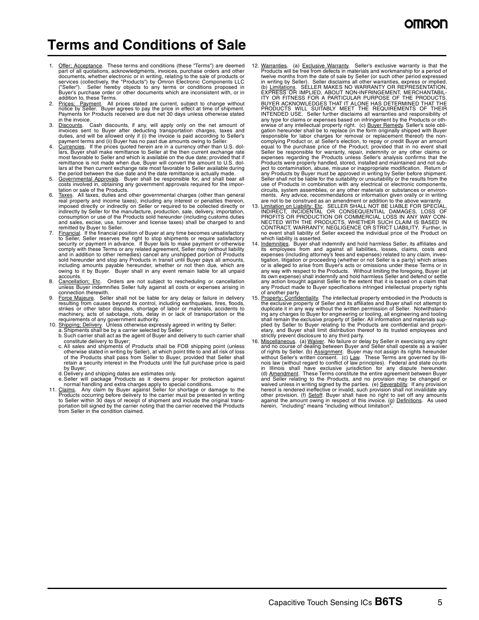### **Terms and Conditions of Sale**

- 1. Offer: Acceptance. These terms and conditions (these "Terms") are deemed<br>part of all quotations, acknowledgments, invoices, purchase orders and other<br>documents, whether electronic or in writing, relating to the sale of services (collectively, the "Products") by Omron Electronic Components LLC<br>("Seller"). Seller hereby objects to any terms or conditions proposed in<br>Buyer's purchase order or other documents which are inconsistent with, or addition to, these Terms.
- 2. Prices; Payment. All prices stated are current, subject to change without notice by Seller. Buyer agrees to pay the price in effect at time of shipment. Payments for Products received are due net 30 days unless otherwise stated in the invoice.
- 3. Discounts. Cash discounts, if any, will apply only on the net amount of invoices sent to Buyer after deducting transportation charges, taxes and duties, and will be allowed only if (i) the invoice is paid according to Seller's
- payment terms and (ii) Buyer has no past due amounts owing to Seller.<br>4. Currencies. If the prices quoted herein are in a currency other than U.S. dollars, Buyer shall make remittance to Seller at the then current exchange rate most favorable to Seller and which is available on the due date; provided that if remittance is not made when due, Buyer will convert the amount to U.S. dollars at the then current exchange rate most favorable to Seller available during the period between the due date and the date remittance is actually made.
- 5. Governmental Approvals. Buyer shall be responsible for, and shall bear all costs involved in, obtaining any government approvals required for the importation or sale of the Products.
- 6. Taxes. All taxes, duties and other governmental charges (other than general real property and income taxes), including any interest or penalties thereon,<br>imposed directly or indirectly on Seller or required to be collec indirectly by Seller for the manufacture, production, sale, delivery, importation, consumption or use of the Products sold hereunder (including customs duties and sales, excise, use, turnover and license taxes) shall be charged to and remitted by Buyer to Seller.
- 7. Einancial. If the financial position of Buyer at any time becomes unsatisfactory<br>to Seller, Seller reserves the right to stop shipments or require satisfactory<br>security or payment in advance. If Buyer fails to make paym comply with these Terms or any related agreement, Seller may (without liability<br>and in addition to other remedies) cancel any unshipped portion of Products<br>sold hereunder and stop any Products in transit until Buyer pays a accounts.
- 8. Cancellation; Etc. Orders are not subject to rescheduling or cancellation unless Buyer indemnifies Seller fully against all costs or expenses arising in connection therewith.
- 9. Force Majeure. Seller shall not be liable for any delay or failure in delivery resulting from causes beyond its control, including earthquakes, fires, floods,<br>strikes or other labor disputes, shortage of labor or materials, accidents to<br>machinery, acts of sabotage, riots, delay in or lack of transpor
- 
- requirements of any government authority.<br>
10. Shipping: Delivery. Unless otherwise expressly agreed in writing by Seller:<br>
a. Shipments shall be by a carrier selected by Seller;<br>
b. Such carrier shall act as the agent of
	- otherwise stated in writing by Seller), at which point title to and all risk of loss<br>of the Products shall pass from Seller to Buyer, provided that Seller shall<br>retain a security interest in the Products until the full pur by Buyer;
	-
- d. Delivery and shipping dates are estimates only.<br>
e. Seller will package Products as it deems proper for protection against<br>
normal handling and extra charges apply to special conditions.<br>
11. Claims. Any claim by Buyer
- to Seller within 30 days of receipt of shipment and include the original transportation bill signed by the carrier noting that the carrier received the Products from Seller in the condition claimed.
- 12. Warranties. (a) Exclusive Warranty. Seller's exclusive warranty is that the Products will be free from defects in materials and workmanship for a period of twelve months from the date of sale by Seller (or such other period expressed in writing by Seller). Seller disclaims all other warranties, express or implied.<br>(b) <u>Limitations</u>. SELLER MAKES NO WARRANTY OR REPRESENTATION,<br>EXPRESS OR IMPLIED, ABOUT NON-INFRINGEMENT, MERCHANTABIL-<br>ITY OR FITNESS FOR any type for claims or expenses based on infringement by the Products or otherwise of any intellectual property right. (c) <u>Buyer Remedy</u>. Seller's sole obli-<br>gation hereunder shall be to replace (in the form originally shipped with Buyer responsible for labor charges for removal or replacement thereof) the noncomplying Product or, at Seller's election, to repay or credit Buyer an amount<br>equal to the purchase price of the Product; provided that in no event shall<br>Seller be responsible for warranty, repair, indemnity or any other Products were properly handled, stored, installed and maintained and not subject to contamination, abuse, misuse or inappropriate modification. Return of any Products by Buyer must be approved in writing by Seller before shipment. Seller shall not be liable for the suitability or unsuitability or the results from the use of Products in combination with any electrical or electronic components, circuits, system assemblies, or any other materials or substances or environ-<br>ments. Any advice, recommendations or information given orally or in writing<br>are not to be construed as an amendment or addition to the above w
- 13. Limitation on Liability: Etc. SELLER SHALL NOT BE LIABLE FOR SPECIAL, INDIRECT, INCIDENTAL OR CONSEQUENTIAL DAMAGES, LOSS OF PROFITS OR PRODUCTION OR COMMERCIAL LOSS IN ANY WAY CONNECTED WITH THE PRODUCTS, WHETHER SUCH which liability is asserted.
- Indemnities. Buyer shall indemnify and hold harmless Seller, its affiliates and its employees from and against all liabilities, losses, claims, costs and<br>expenses (including attorney's fees and expenses) related to any claim, inves-<br>tigation, litigation or proceeding (whether or not Seller is a party) of another party.
- 15. Property: Confidentiality. The intellectual property embodied in the Products is the exclusive property of Seller and its affiliates and Buyer shall not attempt to duplicate it in any way without the written permission shall remain the exclusive property of Seller. All information and materials sup-<br>plied by Seller to Buyer relating to the Products are confidential and propri-<br>etary, and Buyer shall limit distribution thereof to its trus
- strictly prevent disclosure to any third party. 16. Miscellaneous. (a) Waiver. No failure or delay by Seller in exercising any right and no course of dealing between Buyer and Seller shall operate as a waiver of rights by Seller. (b) Assignment. Buyer may not assign its rights hereunder<br>without Seller's written consent. (c) Law. These Terms are governed by Illi-<br>mois law (without regard to conflict of law principles). Federal a